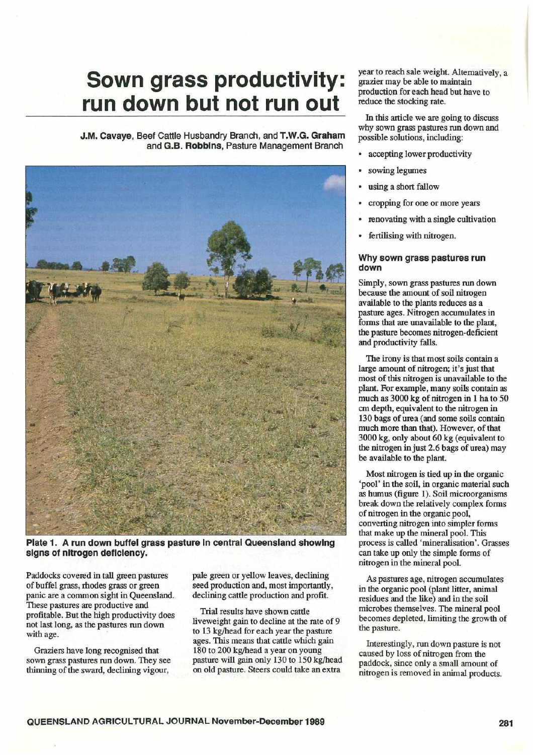# Sown grass productivity: run down but not run out

J.M. Cavaye, Beef Cattle Husbandry Branch, and T.W.G. Graham and G.B. Robbins, Pasture Management Branch



Plate 1. A run down buffel grass pasture In central Queensland showing signs of nitrogen deficiency.

Paddocks covered in tall green pastures of buffel grass, rhodes grass or green panic are a common sight in Queensland. These pastures are productive and profitable . But the high productivity does not last long, as the pastures run down with age.

Graziers have long recognised that sown grass pastures run down. They see thinning of the sward, declining vigour,

pale green or yellow leaves, declining seed production and, most importantly, declining cattle production and profit.

Trial results have shown cattle liveweight gain to decline at the rate of 9 to 13 kg/head for each year the pasture ages. This means that cattle which gain 180 to 200 kg/head a year on young pasture will gain only 130 to 150 kg/head on old pasture. Steers could take an extra

year to reach sale weight. Alternatively, a grazier may be able to maintain production for each head but have to reduce the stocking rate.

In this article we are going to discuss why sown grass pastures run down and possible solutions, including:

- accepting lower productivity
- sowing legumes
- using a short fallow
- cropping for one or more years
- renovating with a single cultivation
- fertilising with nitrogen.

## Why sown grass pastures run down

Simply, sown grass pastures run down because the amount of soil nitrogen available to the plants reduces as a pasture ages. Nitrogen accumulates in forms that are unavailable to the plant, the pasture becomes nitrogen-deficient and productivity falls.

The irony is that most soils contain a large amount of nitrogen; it's just that most of this nitrogen is unavailable to the plant. For example, many soils contain as much as 3000 kg of nitrogen in 1 ha to 50 cm depth, equivalent to the nitrogen in 130 bags of urea (and some soils contain much more than that). However, of that 3000 kg, only about 60 kg (equivalent to the nitrogen in just 2.6 bags of urea) may be available to the plant.

Most nitrogen is tied up in the organic `pool' in the soil, in organic material such as humus (figure 1) . Soil microorganisms break down the relatively complex forms of nitrogen in the organic pool, converting nitrogen into simpler forms that make up the mineral pool. This process is called 'mineralisation'. Grasses can take up only the simple forms of nitrogen in the mineral pool.

As pastures age, nitrogen accumulates in the organic pool (plant litter, animal residues and the like) and in the soil microbes themselves. The mineral pool becomes depleted, limiting the growth of the pasture.

Interestingly, run down pasture is not caused by loss of nitrogen from the paddock, since only a small amount of nitrogen is removed in animal products.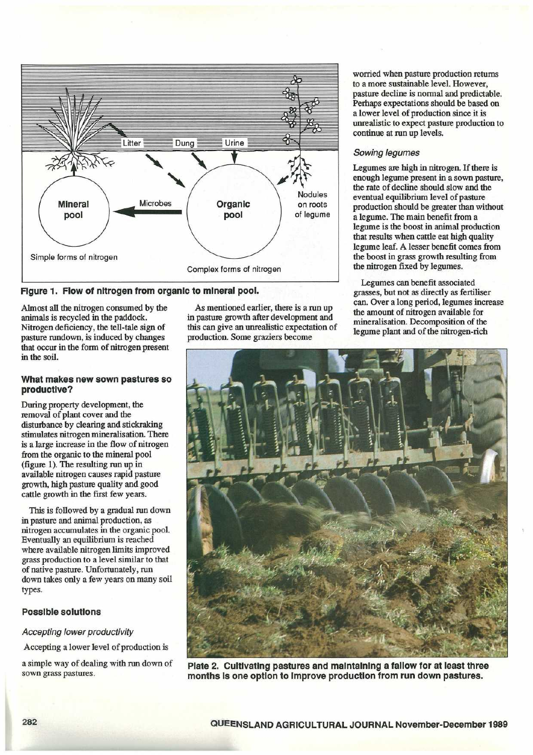

# Figure 1. Flow of nitrogen from organic to mineral pool.

Almost all the nitrogen consumed by the animals is recycled in the paddock. Nitrogen deficiency, the tell-tale sign of pasture rundown, is induced by changes that occur in the form of nitrogen present in the soil.

## What makes new sown pastures so productive?

During property development, the removal of plant cover and the disturbance by clearing and stickraking stimulates nitrogen mineralisation. There is a large increase in the flow of nitrogen from the organic to the mineral pool (figure 1) . The resulting run up in available nitrogen causes rapid pasture growth, high pasture quality and good cattle growth in the first few years.

This is followed by a gradual nun down in pasture and animal production, as nitrogen accumulates in the organic pool. Eventually an equilibrium is reached where available nitrogen limits improved grass production to a level similar to that of native pasture. Unfortunately, run down takes only a few years on many soil types.

# Possible solutions

## Accepting lower productivity

Accepting a lower level of production is

a simple way of dealing with run down of sown grass pastures.

As mentioned earlier, there is a run up in pasture growth after development and this can give an unrealistic expectation of production. Some graziers become

worried when pasture production returns to a more sustainable level. However, pasture decline is normal and predictable. Perhaps expectations should be based on a lower level of production since it is unrealistic to expect pasture production to continue at run up levels.

## Sowing legumes

Legumes are high in nitrogen. If there is enough legume present in a sown pasture, the rate of decline should slow and the eventual equilibrium level of pasture production should be greater than without a legume. The main benefit from a legume is the boost in animal production that results when cattle eat high quality legume leaf. A lesser benefit comes from the boost in grass growth resulting from the nitrogen fixed by legumes.

Legumes can benefit associated grasses, but not as directly as fertiliser can . Over a long period, legumes increase the amount of nitrogen available for mineralisation . Decomposition of the legume plant and of the nitrogen-rich



Plate 2. Cultivating pastures and maintaining a fallow for at least three months Is one option to Improve production from run down pastures.